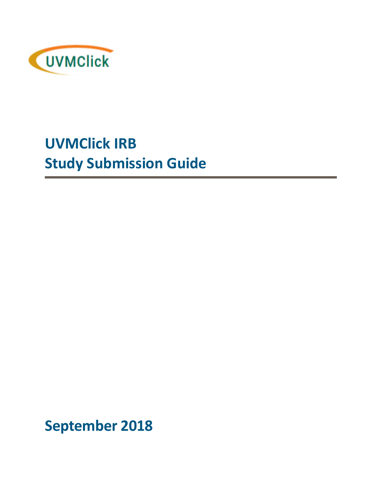

# **UVMClick IRB Study Submission Guide**

**September 2018**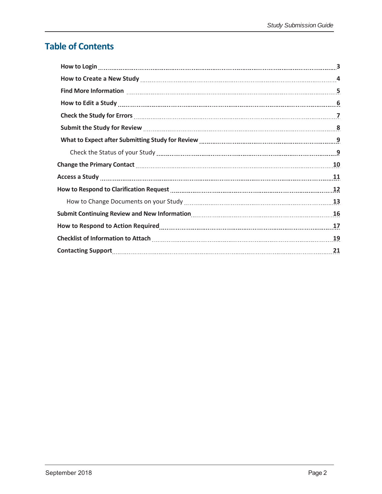### **Table of Contents**

| Find More Information <b>Material Constructs</b> 5                                                                                                                                                                             |  |
|--------------------------------------------------------------------------------------------------------------------------------------------------------------------------------------------------------------------------------|--|
|                                                                                                                                                                                                                                |  |
|                                                                                                                                                                                                                                |  |
| Submit the Study for Review Manuscrittism and Manuscrittism and Manuscrittism and Manuscrittism and Manuscritt                                                                                                                 |  |
| What to Expect after Submitting Study for Review Manual Communication and Mat to Expect after Submitting Study for Review Manual Communication and Material O                                                                  |  |
|                                                                                                                                                                                                                                |  |
|                                                                                                                                                                                                                                |  |
| Access a Study 11 11                                                                                                                                                                                                           |  |
| How to Respond to Clarification Request [1001] How to Respond to Clarification Request [1201] How to Respond to Clarification Request [1201] [1201] How to Respond to Clarification Request [1201] How to Respond to Respond t |  |
|                                                                                                                                                                                                                                |  |
|                                                                                                                                                                                                                                |  |
| How to Respond to Action Required Manual Communications and Table 17 and Table 17                                                                                                                                              |  |
| Checklist of Information to Attach [19] Checklist of Information to Attach [19] Checklist of Information to Attach                                                                                                             |  |
| Contacting Support 21                                                                                                                                                                                                          |  |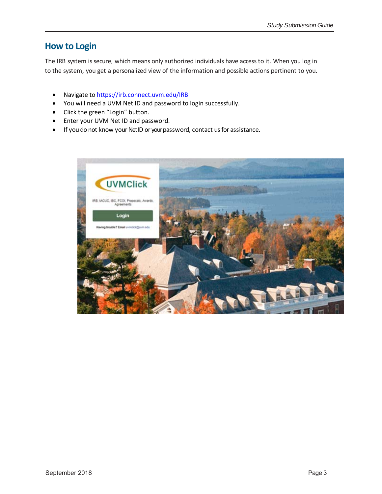### **How to Login**

The IRB system is secure, which means only authorized individuals have access to it. When you log in to the system, you get a personalized view of the information and possible actions pertinent to you.

- Navigate to https://irb.connect.uvm.edu/IRB
- You will need a UVM Net ID and password to login successfully.
- Click the green "Login" button.
- Enter your UVM Net ID and password.
- If you do not know your NetID or your password, contact us for assistance.

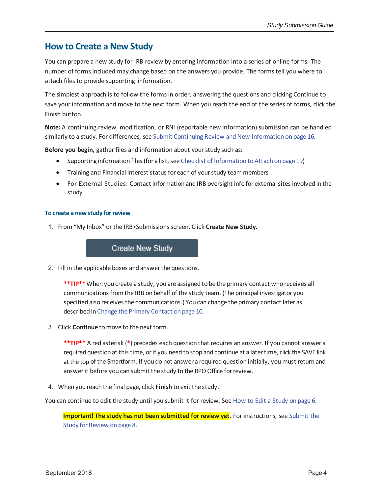### **How to Create a New Study**

You can prepare a new study for IRB review by entering information into a series of online forms. The number of forms included may change based on the answers you provide. The forms tell you where to attach files to provide supporting information.

The simplest approach is to follow the forms in order, answering the questions and clicking Continue to save your information and move to the next form. When you reach the end of the series of forms, click the Finish button.

**Note:** A continuing review, modification, or RNI (reportable new information) submission can be handled similarly to a study. For differences, see Submit Continuing Review and New Information on page 16.

**Before you begin,** gather files and information about your study such as:

- Supporting information files (for a list, see Checklist of Information to Attach on page 19)
- Training and Financial interest status for each of your study team members
- For External Studies: Contact information and IRB oversight infofor externalsites involved in the study

#### **To create a new study forreview**

1. From "My Inbox" or the IRB>Submissions screen, Click **Create New Study**.

## the contract of the contract of the contract of the contract of the contract of

2. Fill in the applicable boxes and answerthe questions.

**\*\*TIP\*\***When you create a study, you are assigned to be the primary contact who receives all communications from the IRB on behalf of the study team. (The principal investigator you specified also receives the communications.) You can change the primary contact later as described in Change the Primary Contact on page 10.

3. Click **Continue** tomove to the next form.

**\*\*TIP\*\*** A red asterisk (**\***) precedes each question that requires an answer. If you cannot answer a required question at this time, orif you need to stop and continue at a latertime, click the SAVE link at the top of the Smartform. If you do not answer a required question initially, you must return and answer it before you can submit the study to the RPO Office for review.

4. When you reach the final page, click **Finish** to exit the study.

You can continue to edit the study until you submit it for review. See How to Edit a Study on page 6.

**Important! The study has not been submitted for review yet**. For instructions, see Submit the Study for Review on page 8.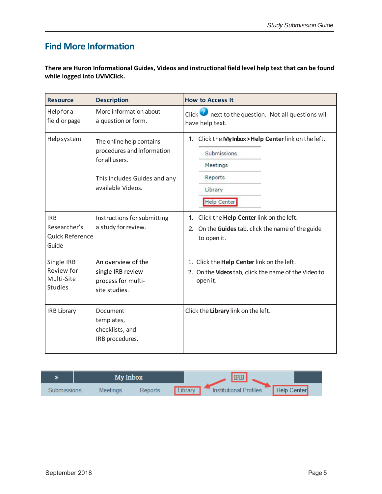### **Find More Information**

**There are Huron Informational Guides, Videos and instructional field level help text that can be found while logged into UVMClick.**

| <b>Resource</b>                                          | <b>Description</b>                                                                                                            | <b>How to Access It</b>                                                                                                      |
|----------------------------------------------------------|-------------------------------------------------------------------------------------------------------------------------------|------------------------------------------------------------------------------------------------------------------------------|
| Help for a<br>field or page                              | More information about<br>a question or form.                                                                                 | Click $\blacksquare$ next to the question. Not all questions will<br>have help text.                                         |
| Help system                                              | The online help contains<br>procedures and information<br>for all users.<br>This includes Guides and any<br>available Videos. | 1. Click the My Inbox > Help Center link on the left.<br>Submissions<br>Meetings<br>Reports<br>Library<br><b>Help Center</b> |
| <b>IRB</b><br>Researcher's<br>Quick Reference<br>Guide   | Instructions for submitting<br>a study for review.                                                                            | Click the Help Center link on the left.<br>$1_{-}$<br>2. On the Guides tab, click the name of the guide<br>to open it.       |
| Single IRB<br>Review for<br>Multi-Site<br><b>Studies</b> | An overview of the<br>single IRB review<br>process for multi-<br>site studies.                                                | 1. Click the Help Center link on the left.<br>2. On the Videos tab, click the name of the Video to<br>open it.               |
| <b>IRB Library</b>                                       | Document<br>templates,<br>checklists, and<br>IRB procedures.                                                                  | Click the Library link on the left.                                                                                          |

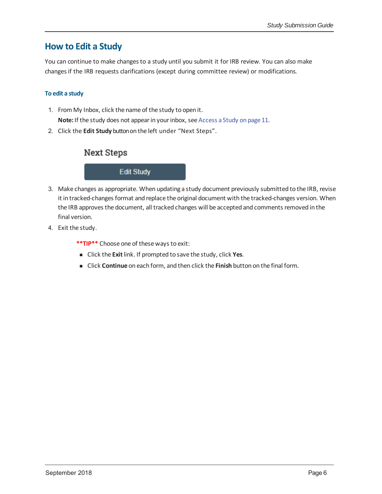### **How to Edit a Study**

You can continue to make changes to a study until you submit it for IRB review. You can also make changesif the IRB requests clarifications (except during committee review) or modifications.

#### **To edit a study**

- 1. From My Inbox, click the name of the study to open it. Note: If the study does not appear in your inbox, see Access a Study on page 11.
- 2. Click the **Edit Study** buttonon the left under "Next Steps".

### **Next Steps**

#### **Edit Study**

- 3. Make changes as appropriate. When updating a study document previously submitted to the IRB, revise it in tracked-changes format and replace the original document with the tracked-changes version. When the IRB approves the document, all tracked changes will be accepted and comments removed in the final version.
- 4. Exit the study.

**\*\*TIP\*\*** Choose one of these ways to exit:

- Click the **Exit**link. If prompted to save the study, click **Yes**.
- Click **Continue** on each form, and then click the **Finish** button on the final form.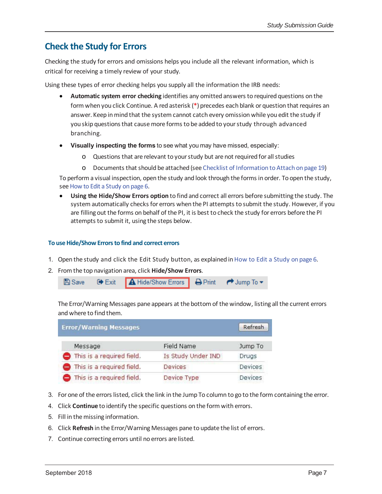### **Check the Study for Errors**

Checking the study for errors and omissions helps you include all the relevant information, which is critical for receiving a timely review of your study.

Using these types of error checking helps you supply all the information the IRB needs:

- **Automatic system error checking** identifies any omitted answers to required questions on the form when you click Continue. A red asterisk (**\***) precedes each blank or question that requires an answer. Keep in mind that the system cannot catch every omission while you edit the study if you skip questionsthat causemore forms to be added to yourstudy through advanced branching.
- **Visually inspecting the forms** to see what you may have missed, especially:
	- o Questions that are relevant to yourstudy but are not required for allstudies
	- o Documents thatshould be attached (see Checklist of Information to Attach on page 19)

To perform a visual inspection, open the study and look through the forms in order. To open the study, see How to Edit a Study on page 6.

 **Using the Hide/Show Errors option** to find and correct all errors before submitting the study. The system automatically checks for errors when the PI attempts to submit the study. However, if you are filling out the forms on behalf of the PI, it is best to check the study for errors before the PI attempts to submit it, using the steps below.

#### **To useHide/Show Errorsto find and correct errors**

- 1. Open the study and click the Edit Study button, as explained in How to Edit a Study on page 6.
- 2. From the top navigation area, click **Hide/Show Errors**.



The Error/Warning Messages pane appears at the bottom of the window, listing all the current errors and where to find them.

| <b>Error/Warning Messages</b>       |                    | Refresh        |
|-------------------------------------|--------------------|----------------|
| Message                             | Field Name         | Jump To        |
| $\bullet$ This is a required field. | Is Study Under IND | Drugs          |
| This is a required field.           | Devices            | <b>Devices</b> |
| This is a required field.           | Device Type        | Devices        |

- 3. For one of the errors listed, click the link in the Jump To column to go to the form containing the error.
- 4. Click **Continue** to identify the specific questions on the form with errors.
- 5. Fill in the missing information.
- 6. Click **Refresh** in the Error/Warning Messages pane to update the list of errors.
- 7. Continue correcting errors until no errors are listed.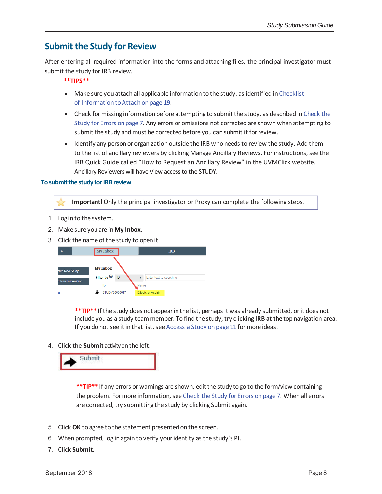### **Submit the Study for Review**

After entering all required information into the forms and attaching files, the principal investigator must submit the study for IRB review.

**\*\*TIPS\*\***

- Make sure you attach all applicable information to the study, as identified in Checklist of Information to Attach on page 19.
- Check formissing information before attempting to submit the study, as described in Check the Study for Errors on page 7. Any errors or omissions not corrected are shown when attempting to submit the study and must be corrected before you can submit it for review.
- Identify any person or organization outside the IRB who needs to review the study. Add them to the list of ancillary reviewers by clicking Manage Ancillary Reviews. Forinstructions, see the IRB Quick Guide called "How to Request an Ancillary Review" in the UVMClick website. Ancillary Reviewers will have View access to the STUDY.

#### **To** submit the study for IRB review

**Important!** Only the principal investigator or Proxy can complete the following steps.

- 1. Log in to the system.
- 2. Make sure you are in **My Inbox**.
- 3. Click the name of the study to open it.



**\*\*TIP\*\*** If the study does not appearin the list, perhaps it was already submitted, orit does not include you as a study team member. To find the study, try clicking **IRB at the** top navigation area. If you do not see it in that list, see Access a Study on page 11 for more ideas.

4. Click the **Submit** activityon the left.



\*\*TIP<sup>\*\*</sup> If any errors or warnings are shown, edit the study to go to the form/view containing the problem. Formore information, see Check the Study for Errors on page 7. When all errors are corrected, try submitting the study by clicking Submit again.

- 5. Click **OK** to agree to the statement presented on the screen.
- 6. When prompted, log in again to verify youridentity as the study's PI.
- 7. Click **Submit**.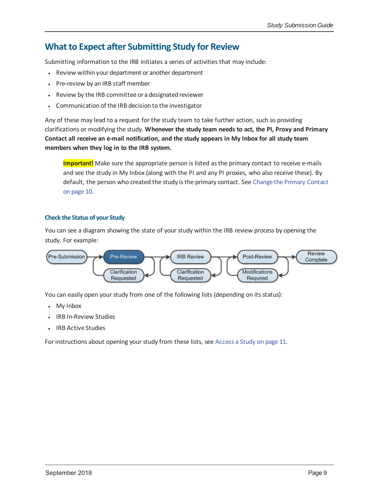### **What to Expect after Submitting Study for Review**

Submitting information to the IRB initiates a series of activities that may include:

- Review within your department or another department
- Pre-review by an IRB staff member
- Review by the IRB committee or a designated reviewer
- Communication of the IRB decision to the investigator

Any of these may lead to a request for the study team to take further action, such as providing clarifications or modifying the study. **Whenever the study team needs to act, the PI, Proxy and Primary** Contact all receive an e-mail notification, and the study appears in My Inbox for all study team **members when they log in to the IRB system.**

Important! Make sure the appropriate person is listed as the primary contact to receive e-mails and see the study in My Inbox (along with the PI and any PI proxies, who also receive these). By default, the person who created the study isthe primary contact. See Change the Primary Contact on page 10.

#### **Check the Status of your Study**

You can see a diagram showing the state of your study within the IRB review process by opening the study. For example:



You can easily open your study from one of the following lists (depending on its status):

- My Inbox
- IRB In‐Review Studies
- IRB Active Studies

For instructions about opening your study from these lists, see Access a Study on page 11.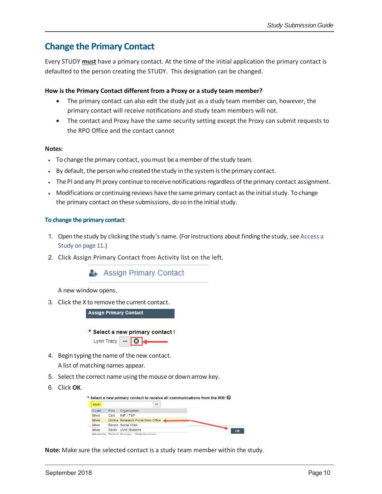### **Change the Primary Contact**

Every STUDY **must** have a primary contact. At the time of the initial application the primary contact is defaulted to the person creating the STUDY. This designation can be changed.

#### **How is the Primary Contact different from a Proxy or a study team member?**

- The primary contact can also edit the study just as a study team member can, however, the primary contact will receive notifications and study team members will not.
- The contact and Proxy have the same security setting except the Proxy can submit requests to the RPO Office and the contact cannot

#### **Notes:**

- To change the primary contact, youmust be amember of the study team.
- By default, the person who created the study in the system is the primary contact.
- The PI and any PI proxy continue to receive notifications regardless of the primary contact assignment.
- Modifications or continuing reviews have the same primary contact as the initial study. To change the primary contact on these submissions, do so in the initial study.

#### **To change the primary contact**

- 1. Open the study by clicking the study's name. (For instructions about finding the study, see Access a Study on page 11.)
- 2. Click Assign Primary Contact from Activity list on the left.

Assign Primary Contact

A new window opens.

3. Click the X to remove the current contact.

**Assign Primary Contact** 

\* Select a new primary contact i



- 4. Begin typing the name of the new contact. A list of matching names appear.
- 5. Select the correct name using the mouse or down arrow key.
- 6. Click **OK**.

|               |       | * Select a new primary contact to receive all communications from the IRB: $\bigcirc$ |  |  |    |
|---------------|-------|---------------------------------------------------------------------------------------|--|--|----|
| silver        |       |                                                                                       |  |  |    |
| ⊡ Last        | First | Organization                                                                          |  |  |    |
| <b>Silver</b> | Carl  | IMF / TSP                                                                             |  |  |    |
| <b>Silver</b> |       | Donna Research Protections Office                                                     |  |  |    |
| Silver        |       | Renee, Social Work                                                                    |  |  |    |
| <b>Silver</b> | Sarah | <b>UVM Students</b>                                                                   |  |  | OK |
|               |       | Cilverman Damon Curgon: Otelanıngelegir                                               |  |  |    |

**Note:** Make sure the selected contact is a study team member within the study.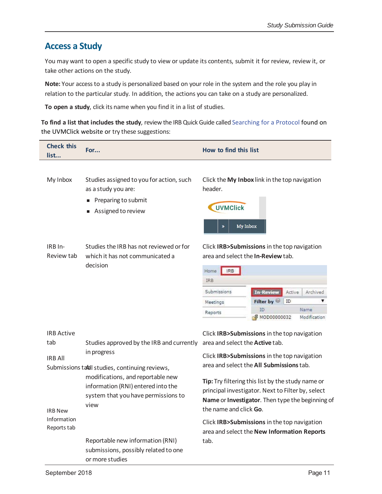### **Access a Study**

You may want to open a specific study to view or update its contents, submit it for review, review it, or take other actions on the study.

**Note:** Your accessto a study is personalized based on your role in the system and the role you play in relation to the particular study. In addition, the actions you can take on a study are personalized.

**To open a study**, click its name when you find it in a list of studies.

**To find a list that includes the study**, review the IRBQuick Guide called Searching for a Protocol found on the UVMClick website or try these suggestions:

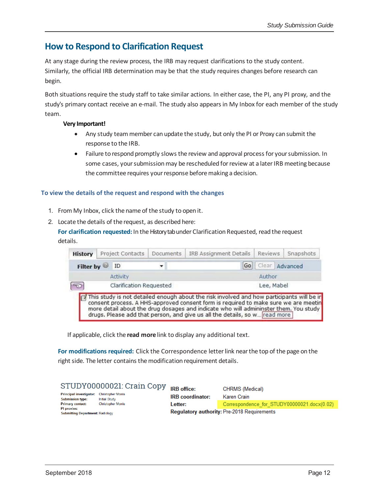### **How to Respond to Clarification Request**

At any stage during the review process, the IRB may request clarifications to the study content. Similarly, the official IRB determination may be that the study requires changes before research can begin.

Both situations require the study staff to take similar actions. In either case, the PI, any PI proxy, and the study's primary contact receive an e-mail. The study also appears in My Inbox for each member of the study team.

#### **Very Important!**

- Any study team member can update the study, but only the PI or Proxy can submit the response to the IRB.
- Failure to respond promptly slows the review and approval process for your submission. In some cases, your submission may be rescheduled for review at a later IRB meeting because the committee requires your response before making a decision.

#### **To view the details of the request and respond with the changes**

- 1. From My Inbox, click the name of the study to open it.
- 2. Locate the details of the request, as described here:

For **clarification requested:** In the History tab under Clarification Requested, read the request details.

| Clear Advanced | Go                                                                                        |                         |              |
|----------------|-------------------------------------------------------------------------------------------|-------------------------|--------------|
|                |                                                                                           |                         | Filter by DD |
|                | Author                                                                                    | Activity                |              |
|                | Lee, Mabel                                                                                | Clarification Requested |              |
|                | This study is not detailed enough about the risk involved and how participants will be in |                         |              |

If applicable, click the **read more** link to display any additional text.

**For modifications required:** Click the Correspondence letterlink nearthe top of the page on the right side. The letter contains the modification requirement details.

| STUDY00000021: Crain Copy                                                                                      | <b>IRB</b> office:      | CHRMS (Medical)                                    |
|----------------------------------------------------------------------------------------------------------------|-------------------------|----------------------------------------------------|
| <b>Principal investigator:</b><br><b>Christopher Morris</b><br><b>Initial Study</b><br><b>Submission type:</b> | <b>IRB</b> coordinator: | <b>Karen Crain</b>                                 |
| <b>Christopher Morris</b><br><b>Primary contact:</b>                                                           | Letter:                 | Correspondence for STUDY00000021.docx(0.02)        |
| PI proxies:<br><b>Submitting Department: Radiology</b>                                                         |                         | <b>Regulatory authority: Pre-2018 Requirements</b> |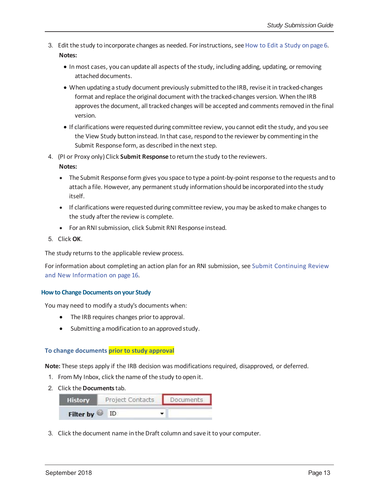- 3. Edit the study to incorporate changes as needed. Forinstructions, seeHow to Edit a Study on page 6. **Notes:**
	- In most cases, you can update all aspects of the study, including adding, updating, or removing attached documents.
	- When updating a study document previously submitted to the IRB, revise it in tracked‐changes format and replace the original document with the tracked-changes version. When the IRB approvesthe document, all tracked changes will be accepted and comments removed in the final version.
	- If clarifications were requested during committee review, you cannot edit the study, and you see the View Study button instead. In that case, respond to the reviewer by commenting in the Submit Response form, as described in the next step.
- 4. (PI or Proxy only) Click **Submit Response** to return the study to the reviewers.

**Notes:**

- The Submit Response form gives you space to type a point-by-point response to the requests and to attach a file. However, any permanent study information should be incorporated into the study itself.
- If clarifications were requested during committee review, youmay be asked tomake changes to the study after the review is complete.
- For an RNI submission, click Submit RNI Response instead.
- 5. Click **OK**.

The study returns to the applicable review process.

For information about completing an action plan for an RNI submission, see Submit Continuing Review and New Information on page 16.

#### **How to Change Documents on your Study**

You may need to modify a study's documents when:

- The IRB requires changes prior to approval.
- Submitting a modification to an approved study.

#### **To change documents prior to study approval**

**Note:** These steps apply if the IRB decision was modifications required, disapproved, or deferred.

- 1. From My Inbox, click the name of the study to open it.
- 2. Click the**Documents**tab.



3. Click the document name in theDraft column and save it to your computer.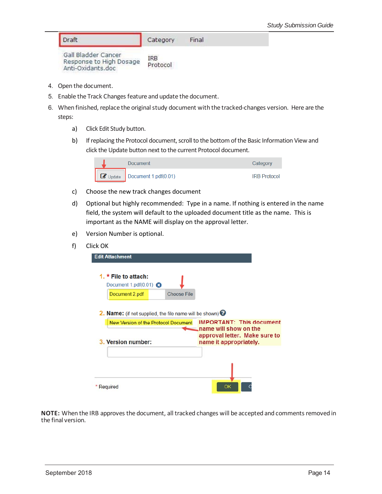| Draft | Category | Final |
|-------|----------|-------|
|       |          |       |

| Gall Bladder Cancer     | <b>IRB</b> |
|-------------------------|------------|
| Response to High Dosage |            |
| Anti-Oxidants.doc       | Protocol   |

- 4. Open the document.
- 5. Enable the Track Changes feature and update the document.
- 6. When finished, replace the original study document with the tracked-changes version. Here are the steps:
	- a) Click Edit Study button.
	- b) If replacing the Protocol document, scroll to the bottom of the Basic Information View and click the Update button next to the current Protocol document.



- c) Choose the new track changes document
- d) Optional but highly recommended: Type in a name. If nothing is entered in the name field, the system will default to the uploaded document title as the name. This is important as the NAME will display on the approval letter.
- e) Version Number is optional.
- f) Click OK

| <b>Edit Attachment</b><br>1. $\star$ File to attach:                                                                    |                    |                                                                                                                     |  |
|-------------------------------------------------------------------------------------------------------------------------|--------------------|---------------------------------------------------------------------------------------------------------------------|--|
| Document 1.pdf $(0.01)$ $\bullet$<br>Document 2.pdf                                                                     | <b>Choose File</b> |                                                                                                                     |  |
| 2. Name: (if not supplied, the file name will be shown) 3<br>New Version of the Protocol Document<br>3. Version number: |                    | <b>IMPORTANT: This document</b><br>name will show on the<br>approval letter. Make sure to<br>name it appropriately. |  |
|                                                                                                                         |                    |                                                                                                                     |  |
|                                                                                                                         |                    |                                                                                                                     |  |
| Required                                                                                                                |                    | OK                                                                                                                  |  |

**NOTE:** When the IRB approves the document, all tracked changes will be accepted and comments removed in the final version.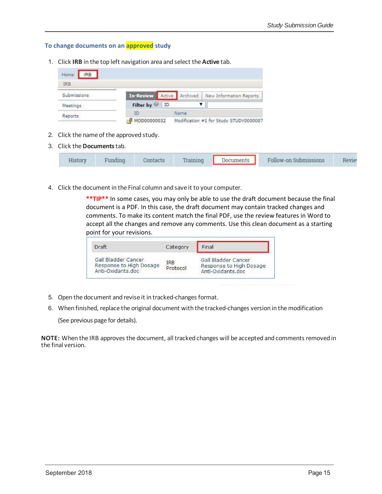#### **To change documents on an approved study**

1. Click **IRB** in the top left navigation area and select the **Active** tab.

| Home<br><b>IRB</b> |                         |    |      |                                        |
|--------------------|-------------------------|----|------|----------------------------------------|
| IRB                |                         |    |      |                                        |
| Submissions        | <b>In-Review Active</b> |    |      | Archived   New Information Reports     |
| Meetings           | <b>Filter by</b>        | ID |      |                                        |
| Reports            |                         |    | Name |                                        |
|                    | MOD00000032             |    |      | Modification #1 for Study STUDY0000007 |

- 2. Click the name of the approved study.
- 3. Click the**Documents**tab.

|  |  |  | ontaets |  | <b>Documents</b> | Follow-on Submissions |  |
|--|--|--|---------|--|------------------|-----------------------|--|
|--|--|--|---------|--|------------------|-----------------------|--|

4. Click the document in the Final column and save it to your computer.

**\*\*TIP\*\*** In some cases, you may only be able to use the draft document because the final document is a PDF. In this case, the draft document may contain tracked changes and comments. To make its content match the final PDF, use the review features in Word to accept all the changes and remove any comments. Use this clean document as a starting point for your revisions.

| <b>Oraft</b>                                                        | Category               | Final                                                               |
|---------------------------------------------------------------------|------------------------|---------------------------------------------------------------------|
| Gall Bladder Cancer<br>Response to High Dosage<br>Anti-Oxidants.doc | <b>IRB</b><br>Protocol | Gall Bladder Cancer<br>Response to High Dosage<br>Anti-Oxidants.doc |

- 5. Open the document and revise it in tracked-changes format.
- 6. When finished, replace the original document with the tracked-changes version in the modification (See previous page for details).

**NOTE:** When the IRB approves the document, all tracked changes will be accepted and comments removed in the final version.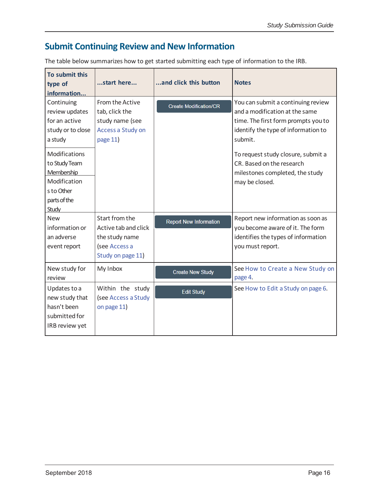### **Submit Continuing Review and New Information**

The table below summarizes how to get started submitting each type of information to the IRB.

| To submit this<br>type of<br>information                                                                                                                                             | start here                                                                                    | and click this button         | <b>Notes</b>                                                                                                                                                                                                                                                                          |
|--------------------------------------------------------------------------------------------------------------------------------------------------------------------------------------|-----------------------------------------------------------------------------------------------|-------------------------------|---------------------------------------------------------------------------------------------------------------------------------------------------------------------------------------------------------------------------------------------------------------------------------------|
| Continuing<br>review updates<br>for an active<br>study or to close<br>a study<br>Modifications<br>to Study Team<br>Membership<br>Modification<br>s to Other<br>parts of the<br>Study | From the Active<br>tab, click the<br>study name (see<br>Access a Study on<br>page 11)         | <b>Create Modification/CR</b> | You can submit a continuing review<br>and a modification at the same<br>time. The first form prompts you to<br>identify the type of information to<br>submit.<br>To request study closure, submit a<br>CR. Based on the research<br>milestones completed, the study<br>may be closed. |
| <b>New</b><br>information or<br>an adverse<br>event report                                                                                                                           | Start from the<br>Active tab and click<br>the study name<br>(see Accessa<br>Study on page 11) | <b>Report New Information</b> | Report new information as soon as<br>you become aware of it. The form<br>identifies the types of information<br>you must report.                                                                                                                                                      |
| New study for<br>review                                                                                                                                                              | My Inbox                                                                                      | <b>Create New Study</b>       | See How to Create a New Study on<br>page 4.                                                                                                                                                                                                                                           |
| Updates to a<br>new study that<br>hasn't been<br>submitted for<br>IRB review yet                                                                                                     | Within the study<br>(see Access a Study<br>on page 11)                                        | <b>Edit Study</b>             | See How to Edit a Study on page 6.                                                                                                                                                                                                                                                    |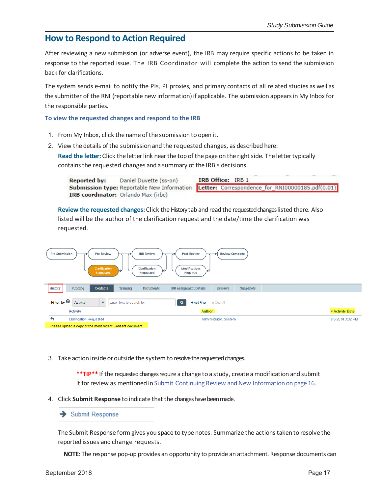### **How to Respond to Action Required**

After reviewing a new submission (or adverse event), the IRB may require specific actions to be taken in response to the reported issue. The IRB Coordinator will complete the action to send the submission back for clarifications.

The system sends e-mail to notify the PIs, PI proxies, and primary contacts of all related studies as well as the submitter of the RNI (reportable new information) if applicable. The submission appears in My Inbox for the responsible parties.

#### **To view the requested changes and respond to the IRB**

- 1. From My Inbox, click the name of the submission to open it.
- 2. View the details of the submission and the requested changes, as described here:

**Read the letter:** Click the letter link near the top of the page on the right side. The letter typically containsthe requested changes and a summary of the IRB's decisions.

Daniel Duvette (ss-on) IRB Office: IRB 1 **Reported by:** Submission type: Reportable New Information Letter: Correspondence\_for\_RNI00000185.pdf(0.01) IRB coordinator: Orlando Max (irbc)

**Review the requested changes:** Click the Historytab and read the requested changes listed there. Also listed will be the author of the clarification request and the date/time the clarification was requested.

| Pre-Review<br><b>IRB Review</b><br><b>Post-Review</b><br>Pre-Submission<br><b>Review Complete</b><br><b>Clarification</b><br>Modifications<br>Clarification<br>W<br>⊮<br>Required<br>Requested<br>Requested |                                                              |                  |  |  |
|-------------------------------------------------------------------------------------------------------------------------------------------------------------------------------------------------------------|--------------------------------------------------------------|------------------|--|--|
| History<br>Training<br>Funding<br><b>Contacts</b><br><b>Documents</b>                                                                                                                                       | <b>Reviews</b><br><b>IRB Assignment Details</b><br>Snapshots |                  |  |  |
| Filter by $\bullet$<br>Activity<br>Q<br>$\overline{\mathbf{v}}$<br>Enter text to search for<br>+ Add Filter<br><b>x</b> Clear All<br>Author<br><b>Exercivity Date</b><br><b>Activity</b>                    |                                                              |                  |  |  |
| <b>Clarification Requested</b><br>∽                                                                                                                                                                         | Administrator, System                                        | 8/6/2018 3:32 PM |  |  |
| Please upload a copy of the most recent Consent document.                                                                                                                                                   |                                                              |                  |  |  |

3. Take action inside or outside the system to resolve the requested changes.

\*\*TIP\*\* If the requested changes require a change to a study, create a modification and submit it for review as mentioned in Submit Continuing Review and New Information on page 16.

4. Click **Submit Response** to indicate that the changeshavebeenmade.

#### Submit Response

The Submit Response form gives you space to type notes. Summarize the actions taken to resolve the reported issues and change requests.

**NOTE**: The response pop‐up provides an opportunity to provide an attachment. Response documents can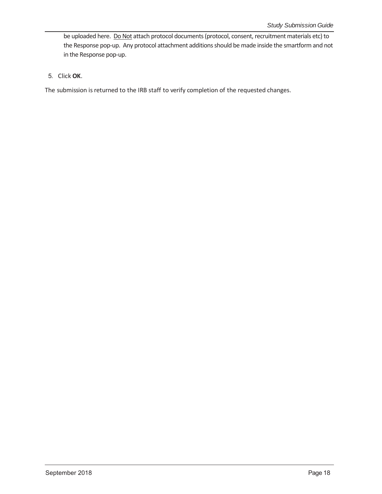be uploaded here. Do Not attach protocol documents (protocol, consent, recruitment materials etc) to the Response pop-up. Any protocol attachment additions should be made inside the smartform and not in the Response pop‐up.

#### 5. Click **OK**.

The submission is returned to the IRB staff to verify completion of the requested changes.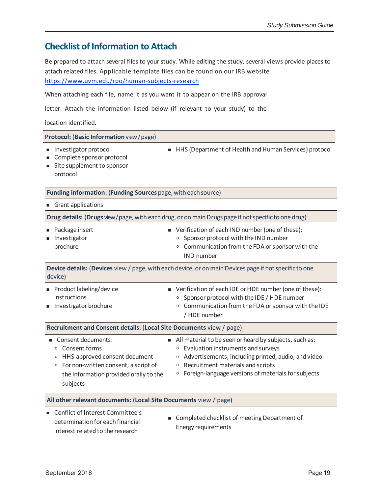### **Checklist of Information to Attach**

Be prepared to attach several files to your study. While editing the study, several views provide places to attach related files. Applicable template files can be found on our IRB website https://www.uvm.edu/rpo/human‐subjects‐research

When attaching each file, name it as you want it to appear on the IRB approval

letter. Attach the information listed below (if relevant to your study) to the

location identified.

| Protocol: (Basic Information view/page)                                                                                                                                                             |                                                                                                                                                                                                                                                                                             |  |  |  |
|-----------------------------------------------------------------------------------------------------------------------------------------------------------------------------------------------------|---------------------------------------------------------------------------------------------------------------------------------------------------------------------------------------------------------------------------------------------------------------------------------------------|--|--|--|
| Investigator protocol<br>Complete sponsor protocol<br>Site supplement to sponsor<br>protocol                                                                                                        | HHS (Department of Health and Human Services) protocol                                                                                                                                                                                                                                      |  |  |  |
| Funding information: (Funding Sources page, with each source)                                                                                                                                       |                                                                                                                                                                                                                                                                                             |  |  |  |
| Grant applications                                                                                                                                                                                  |                                                                                                                                                                                                                                                                                             |  |  |  |
| Drug details: (Drugs view/page, with each drug, or on main Drugs page if not specific to one drug)                                                                                                  |                                                                                                                                                                                                                                                                                             |  |  |  |
| Package insert<br>Investigator<br>brochure                                                                                                                                                          | ■ Verification of each IND number (one of these):<br>Sponsor protocol with the IND number<br>$\circ$<br>Communication from the FDA or sponsor with the<br>$\circ$<br><b>IND</b> number                                                                                                      |  |  |  |
| device)                                                                                                                                                                                             | Device details: (Devices view / page, with each device, or on main Devices page if not specific to one                                                                                                                                                                                      |  |  |  |
| Product labeling/device<br>instructions<br>Investigator brochure                                                                                                                                    | ■ Verification of each IDE or HDE number (one of these):<br>Sponsor protocol with the IDE / HDE number<br>$\circ$<br>Communication from the FDA or sponsor with the IDE<br>$\circ$<br>/ HDE number                                                                                          |  |  |  |
| Recruitment and Consent details: (Local Site Documents view / page)                                                                                                                                 |                                                                                                                                                                                                                                                                                             |  |  |  |
| Consent documents:<br>Consent forms<br>$\circ$<br>HHS-approved consent document<br>$\circ$<br>For non-written consent, a script of<br>$\circ$<br>the information provided orally to the<br>subjects | All material to be seen or heard by subjects, such as:<br>Evaluation instruments and surveys<br>$\circ$<br>Advertisements, including printed, audio, and video<br>$\circ$<br>Recruitment materials and scripts<br>$\circ$<br>Foreign-language versions of materials for subjects<br>$\circ$ |  |  |  |
| All other relevant documents: (Local Site Documents view / page)                                                                                                                                    |                                                                                                                                                                                                                                                                                             |  |  |  |
| Conflict of Interest Committee's<br>determination for each financial                                                                                                                                | Completed checklist of meeting Department of                                                                                                                                                                                                                                                |  |  |  |

Energy requirements

interest related to the research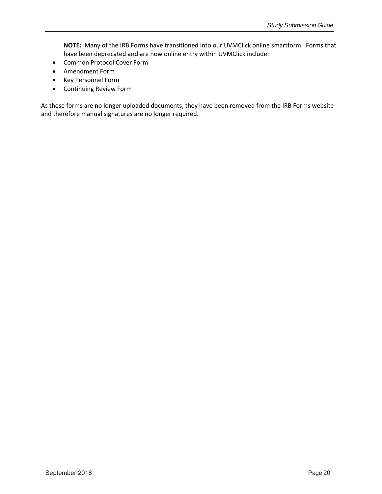**NOTE:** Many of the IRB Forms have transitioned into our UVMClick online smartform. Forms that have been deprecated and are now online entry within UVMClick include:

- Common Protocol Cover Form
- Amendment Form
- Key Personnel Form
- Continuing Review Form

As these forms are no longer uploaded documents, they have been removed from the IRB Forms website and therefore manual signatures are no longer required.